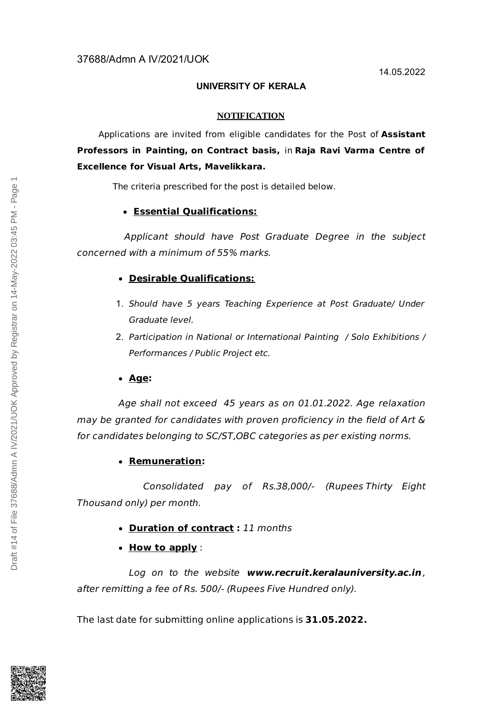# 37688/Admn A IV/2021/UOK

## **UNIVERSITY OF KERALA**

#### **NOTIFICATION**

Applications are invited from eligible candidates for the Post of **Assistant Professors in Painting, on Contract basis,** in **Raja Ravi Varma Centre of Excellence for Visual Arts, Mavelikkara.**

The criteria prescribed for the post is detailed below.

#### **Essential Qualifications:**

Applicant should have Post Graduate Degree in the subject concerned with a minimum of 55% marks.

## **Desirable Qualifications:**

- 1. Should have 5 years Teaching Experience at Post Graduate/ Under Graduate level.
- 2. Participation in National or International Painting / Solo Exhibitions / Performances / Public Project etc.
- **Age:**

Age shall not exceed 45 years as on 01.01.2022. Age relaxation may be granted for candidates with proven proficiency in the field of Art & for candidates belonging to SC/ST,OBC categories as per existing norms.

## **Remuneration:**

Consolidated pay of Rs.38,000/- (Rupees Thirty Eight Thousand only) per month.

- **Duration of contract :** 11 months
- **How to apply** :

Log on to the website **www.recruit.keralauniversity.ac.in** , after remitting a fee of Rs. 500/- (Rupees Five Hundred only).

The last date for submitting online applications is **31.05.2022.**